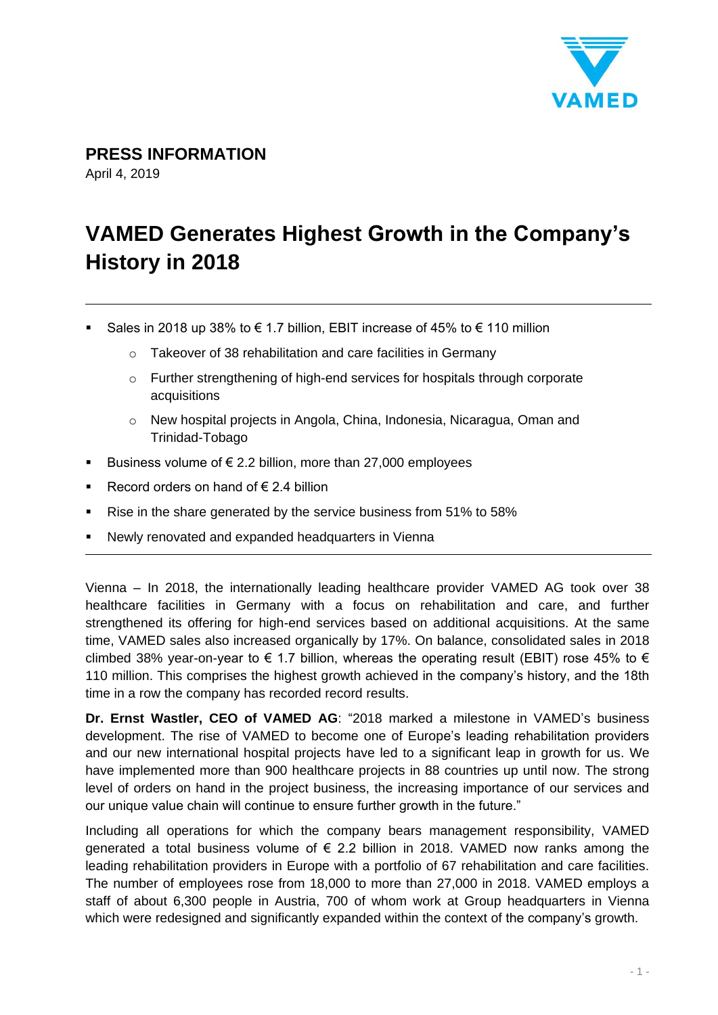

**PRESS INFORMATION**

April 4, 2019

# **VAMED Generates Highest Growth in the Company's History in 2018**

- Sales in 2018 up 38% to  $\epsilon$  1.7 billion, EBIT increase of 45% to  $\epsilon$  110 million
	- o Takeover of 38 rehabilitation and care facilities in Germany
	- $\circ$  Further strengthening of high-end services for hospitals through corporate acquisitions
	- o New hospital projects in Angola, China, Indonesia, Nicaragua, Oman and Trinidad-Tobago
- Business volume of  $\epsilon$  2.2 billion, more than 27,000 employees
- Record orders on hand of  $\epsilon$  2.4 billion
- Rise in the share generated by the service business from 51% to 58%
- Newly renovated and expanded headquarters in Vienna

Vienna – In 2018, the internationally leading healthcare provider VAMED AG took over 38 healthcare facilities in Germany with a focus on rehabilitation and care, and further strengthened its offering for high-end services based on additional acquisitions. At the same time, VAMED sales also increased organically by 17%. On balance, consolidated sales in 2018 climbed 38% year-on-year to  $\epsilon$  1.7 billion, whereas the operating result (EBIT) rose 45% to  $\epsilon$ 110 million. This comprises the highest growth achieved in the company's history, and the 18th time in a row the company has recorded record results.

**Dr. Ernst Wastler, CEO of VAMED AG**: "2018 marked a milestone in VAMED's business development. The rise of VAMED to become one of Europe's leading rehabilitation providers and our new international hospital projects have led to a significant leap in growth for us. We have implemented more than 900 healthcare projects in 88 countries up until now. The strong level of orders on hand in the project business, the increasing importance of our services and our unique value chain will continue to ensure further growth in the future."

Including all operations for which the company bears management responsibility, VAMED generated a total business volume of  $\epsilon$  2.2 billion in 2018. VAMED now ranks among the leading rehabilitation providers in Europe with a portfolio of 67 rehabilitation and care facilities. The number of employees rose from 18,000 to more than 27,000 in 2018. VAMED employs a staff of about 6,300 people in Austria, 700 of whom work at Group headquarters in Vienna which were redesigned and significantly expanded within the context of the company's growth.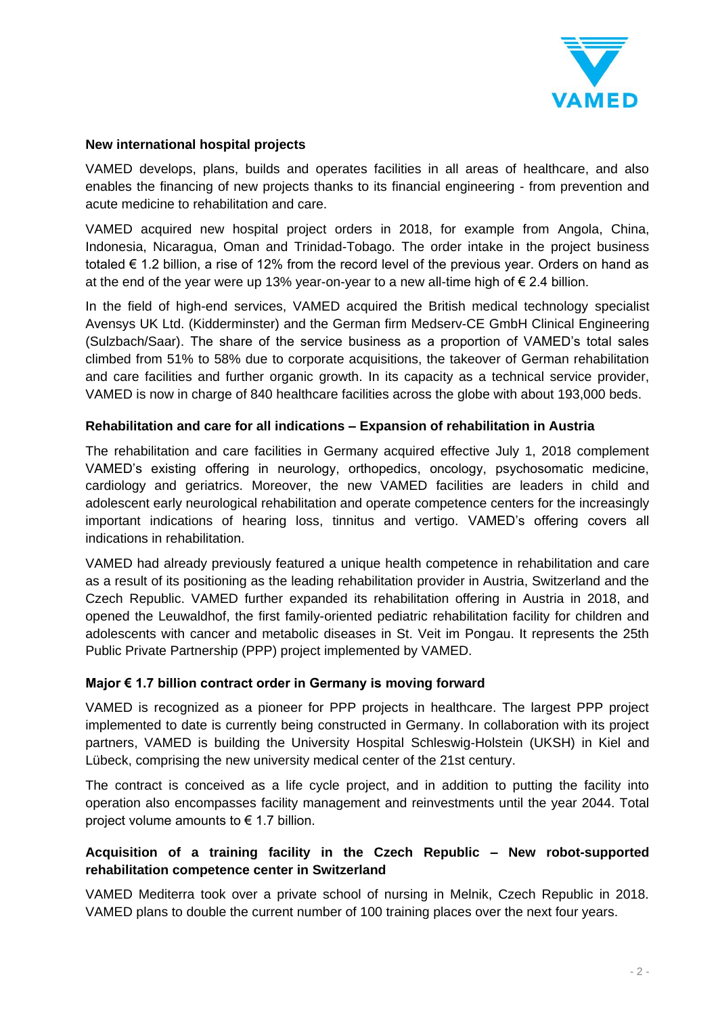

## **New international hospital projects**

VAMED develops, plans, builds and operates facilities in all areas of healthcare, and also enables the financing of new projects thanks to its financial engineering - from prevention and acute medicine to rehabilitation and care.

VAMED acquired new hospital project orders in 2018, for example from Angola, China, Indonesia, Nicaragua, Oman and Trinidad-Tobago. The order intake in the project business totaled € 1.2 billion, a rise of 12% from the record level of the previous year. Orders on hand as at the end of the year were up 13% year-on-year to a new all-time high of  $\epsilon$  2.4 billion.

In the field of high-end services, VAMED acquired the British medical technology specialist Avensys UK Ltd. (Kidderminster) and the German firm Medserv-CE GmbH Clinical Engineering (Sulzbach/Saar). The share of the service business as a proportion of VAMED's total sales climbed from 51% to 58% due to corporate acquisitions, the takeover of German rehabilitation and care facilities and further organic growth. In its capacity as a technical service provider, VAMED is now in charge of 840 healthcare facilities across the globe with about 193,000 beds.

### **Rehabilitation and care for all indications – Expansion of rehabilitation in Austria**

The rehabilitation and care facilities in Germany acquired effective July 1, 2018 complement VAMED's existing offering in neurology, orthopedics, oncology, psychosomatic medicine, cardiology and geriatrics. Moreover, the new VAMED facilities are leaders in child and adolescent early neurological rehabilitation and operate competence centers for the increasingly important indications of hearing loss, tinnitus and vertigo. VAMED's offering covers all indications in rehabilitation.

VAMED had already previously featured a unique health competence in rehabilitation and care as a result of its positioning as the leading rehabilitation provider in Austria, Switzerland and the Czech Republic. VAMED further expanded its rehabilitation offering in Austria in 2018, and opened the Leuwaldhof, the first family-oriented pediatric rehabilitation facility for children and adolescents with cancer and metabolic diseases in St. Veit im Pongau. It represents the 25th Public Private Partnership (PPP) project implemented by VAMED.

#### **Major € 1.7 billion contract order in Germany is moving forward**

VAMED is recognized as a pioneer for PPP projects in healthcare. The largest PPP project implemented to date is currently being constructed in Germany. In collaboration with its project partners, VAMED is building the University Hospital Schleswig-Holstein (UKSH) in Kiel and Lübeck, comprising the new university medical center of the 21st century.

The contract is conceived as a life cycle project, and in addition to putting the facility into operation also encompasses facility management and reinvestments until the year 2044. Total project volume amounts to  $\epsilon$  1.7 billion.

## **Acquisition of a training facility in the Czech Republic – New robot-supported rehabilitation competence center in Switzerland**

VAMED Mediterra took over a private school of nursing in Melnik, Czech Republic in 2018. VAMED plans to double the current number of 100 training places over the next four years.